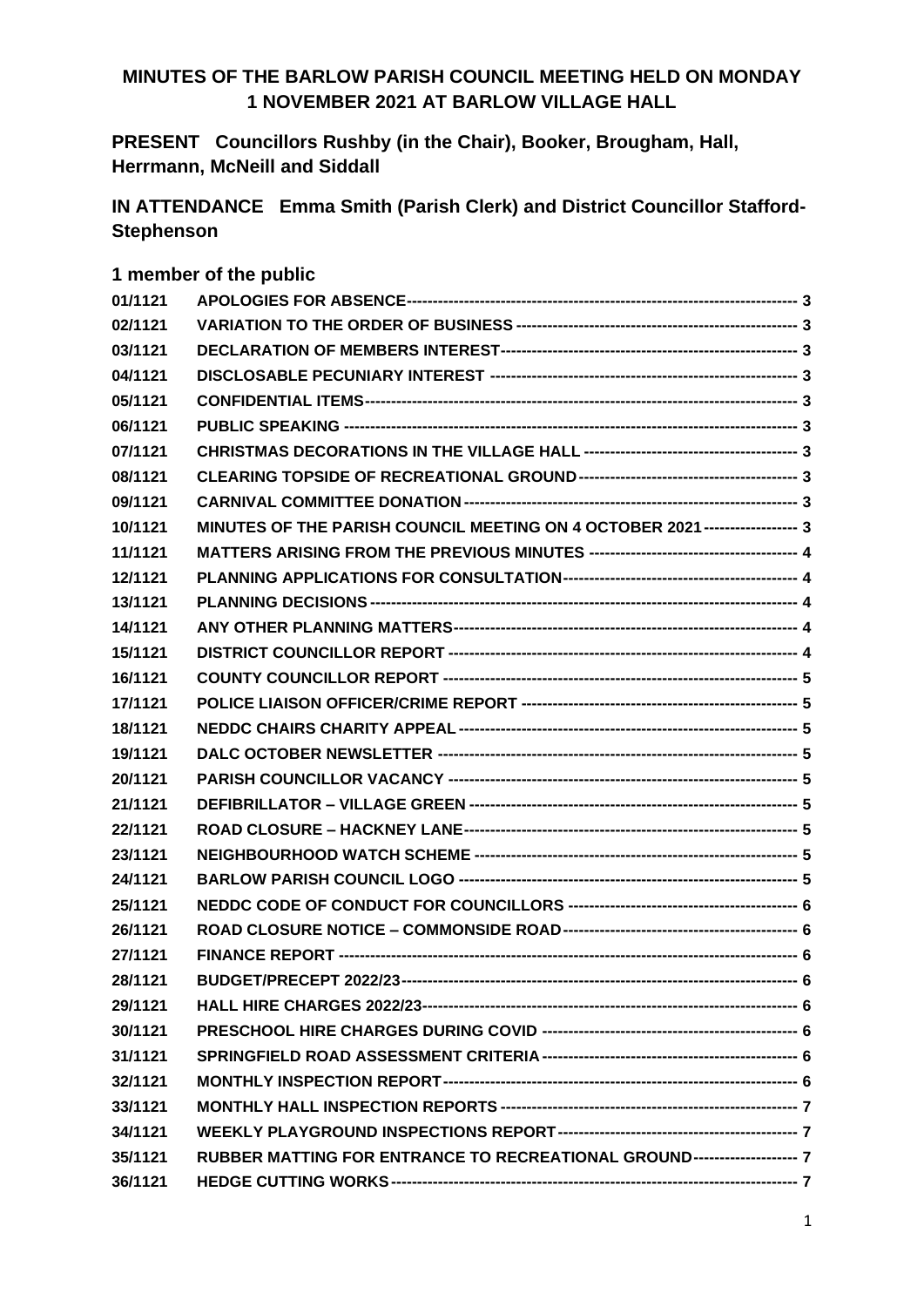### **MINUTES OF THE BARLOW PARISH COUNCIL MEETING HELD ON MONDAY 1 NOVEMBER 2021 AT BARLOW VILLAGE HALL**

**PRESENT Councillors Rushby (in the Chair), Booker, Brougham, Hall, Herrmann, McNeill and Siddall**

**IN ATTENDANCE Emma Smith (Parish Clerk) and District Councillor Stafford-Stephenson**

#### **1 member of the public**

| 01/1121 |                                                                             |  |
|---------|-----------------------------------------------------------------------------|--|
| 02/1121 |                                                                             |  |
| 03/1121 |                                                                             |  |
| 04/1121 |                                                                             |  |
| 05/1121 |                                                                             |  |
| 06/1121 |                                                                             |  |
| 07/1121 |                                                                             |  |
| 08/1121 |                                                                             |  |
| 09/1121 |                                                                             |  |
| 10/1121 | MINUTES OF THE PARISH COUNCIL MEETING ON 4 OCTOBER 2021 ----------------- 3 |  |
| 11/1121 |                                                                             |  |
| 12/1121 |                                                                             |  |
| 13/1121 |                                                                             |  |
| 14/1121 |                                                                             |  |
| 15/1121 |                                                                             |  |
| 16/1121 |                                                                             |  |
| 17/1121 |                                                                             |  |
| 18/1121 |                                                                             |  |
| 19/1121 |                                                                             |  |
| 20/1121 |                                                                             |  |
| 21/1121 |                                                                             |  |
| 22/1121 |                                                                             |  |
| 23/1121 |                                                                             |  |
| 24/1121 |                                                                             |  |
| 25/1121 |                                                                             |  |
| 26/1121 |                                                                             |  |
| 27/1121 |                                                                             |  |
| 28/1121 |                                                                             |  |
| 29/1121 |                                                                             |  |
| 30/1121 |                                                                             |  |
| 31/1121 |                                                                             |  |
| 32/1121 |                                                                             |  |
| 33/1121 |                                                                             |  |
| 34/1121 |                                                                             |  |
| 35/1121 | RUBBER MATTING FOR ENTRANCE TO RECREATIONAL GROUND------------------- 7     |  |
| 36/1121 |                                                                             |  |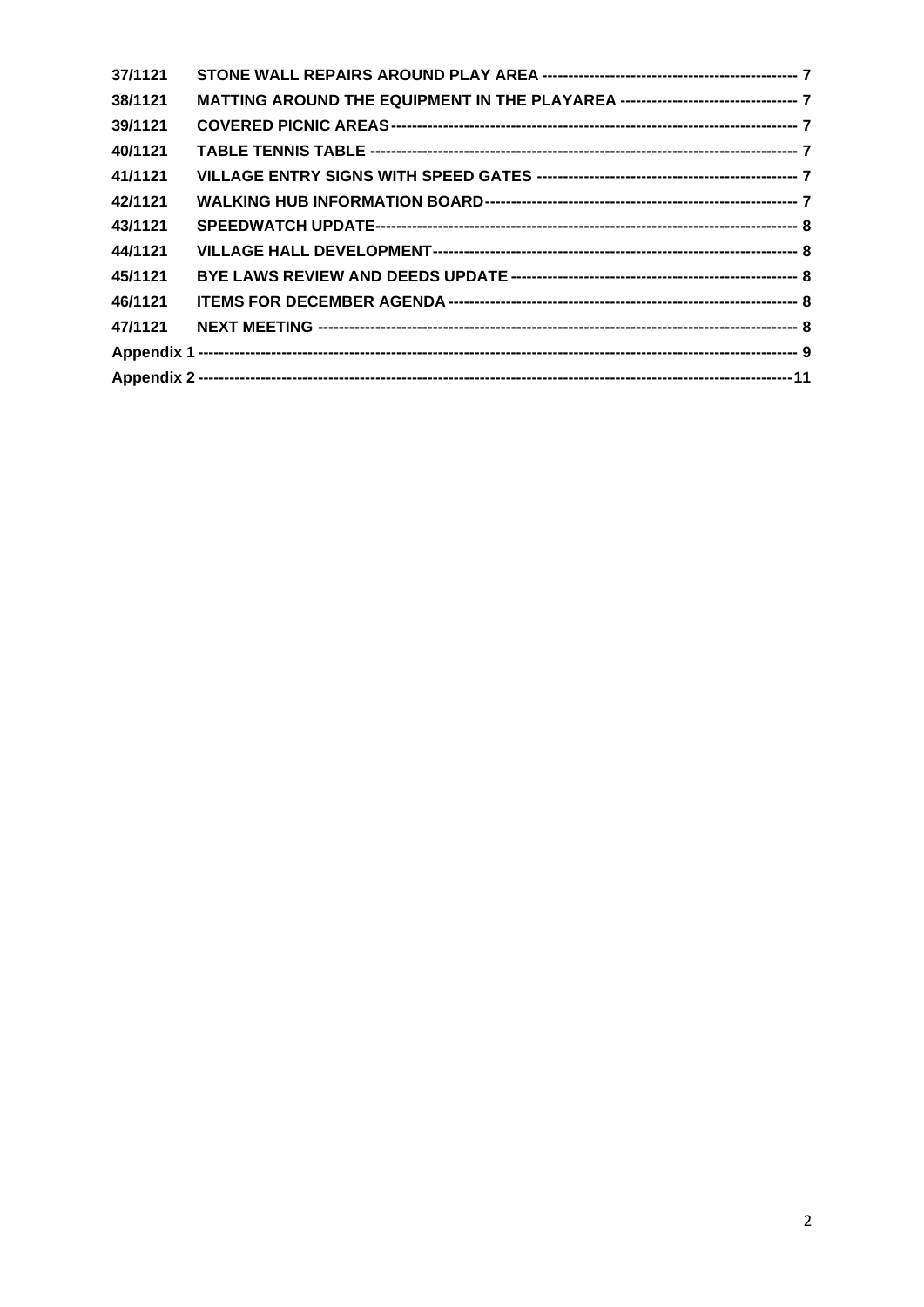| 37/1121 |  |
|---------|--|
| 38/1121 |  |
| 39/1121 |  |
| 40/1121 |  |
| 41/1121 |  |
| 42/1121 |  |
| 43/1121 |  |
| 44/1121 |  |
| 45/1121 |  |
| 46/1121 |  |
| 47/1121 |  |
|         |  |
|         |  |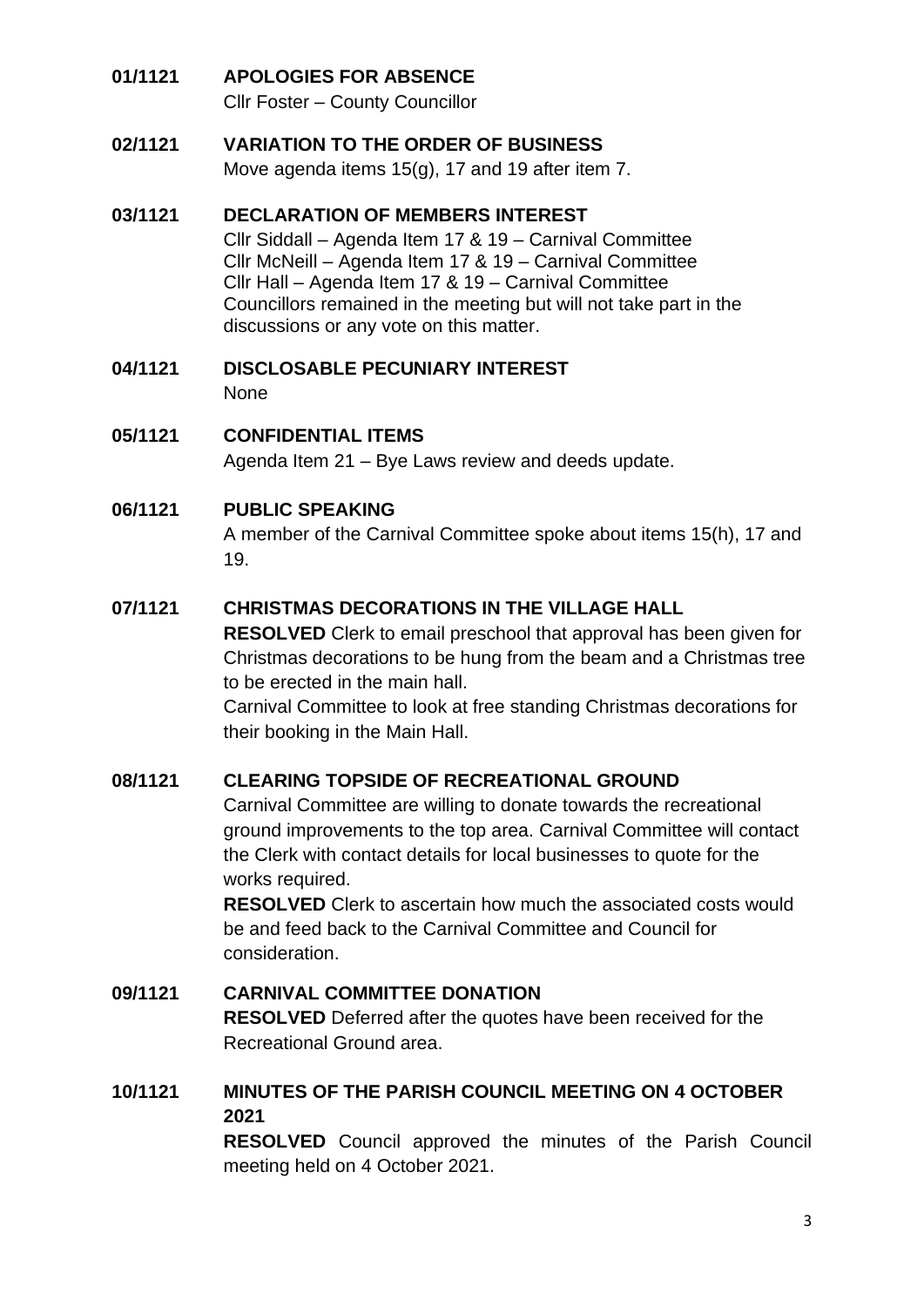### <span id="page-2-0"></span>**01/1121 APOLOGIES FOR ABSENCE**

Cllr Foster – County Councillor

#### <span id="page-2-1"></span>**02/1121 VARIATION TO THE ORDER OF BUSINESS**

Move agenda items 15(g), 17 and 19 after item 7.

#### <span id="page-2-2"></span>**03/1121 DECLARATION OF MEMBERS INTEREST**

Cllr Siddall – Agenda Item 17 & 19 – Carnival Committee Cllr McNeill – Agenda Item 17 & 19 – Carnival Committee Cllr Hall – Agenda Item 17 & 19 – Carnival Committee Councillors remained in the meeting but will not take part in the discussions or any vote on this matter.

- <span id="page-2-3"></span>**04/1121 DISCLOSABLE PECUNIARY INTEREST** None
- <span id="page-2-4"></span>**05/1121 CONFIDENTIAL ITEMS**

Agenda Item 21 – Bye Laws review and deeds update.

#### <span id="page-2-5"></span>**06/1121 PUBLIC SPEAKING**

A member of the Carnival Committee spoke about items 15(h), 17 and 19.

#### <span id="page-2-6"></span>**07/1121 CHRISTMAS DECORATIONS IN THE VILLAGE HALL**

**RESOLVED** Clerk to email preschool that approval has been given for Christmas decorations to be hung from the beam and a Christmas tree to be erected in the main hall.

Carnival Committee to look at free standing Christmas decorations for their booking in the Main Hall.

#### <span id="page-2-7"></span>**08/1121 CLEARING TOPSIDE OF RECREATIONAL GROUND**

Carnival Committee are willing to donate towards the recreational ground improvements to the top area. Carnival Committee will contact the Clerk with contact details for local businesses to quote for the works required.

**RESOLVED** Clerk to ascertain how much the associated costs would be and feed back to the Carnival Committee and Council for consideration.

#### <span id="page-2-8"></span>**09/1121 CARNIVAL COMMITTEE DONATION RESOLVED** Deferred after the quotes have been received for the Recreational Ground area.

# <span id="page-2-9"></span>**10/1121 MINUTES OF THE PARISH COUNCIL MEETING ON 4 OCTOBER 2021**

**RESOLVED** Council approved the minutes of the Parish Council meeting held on 4 October 2021.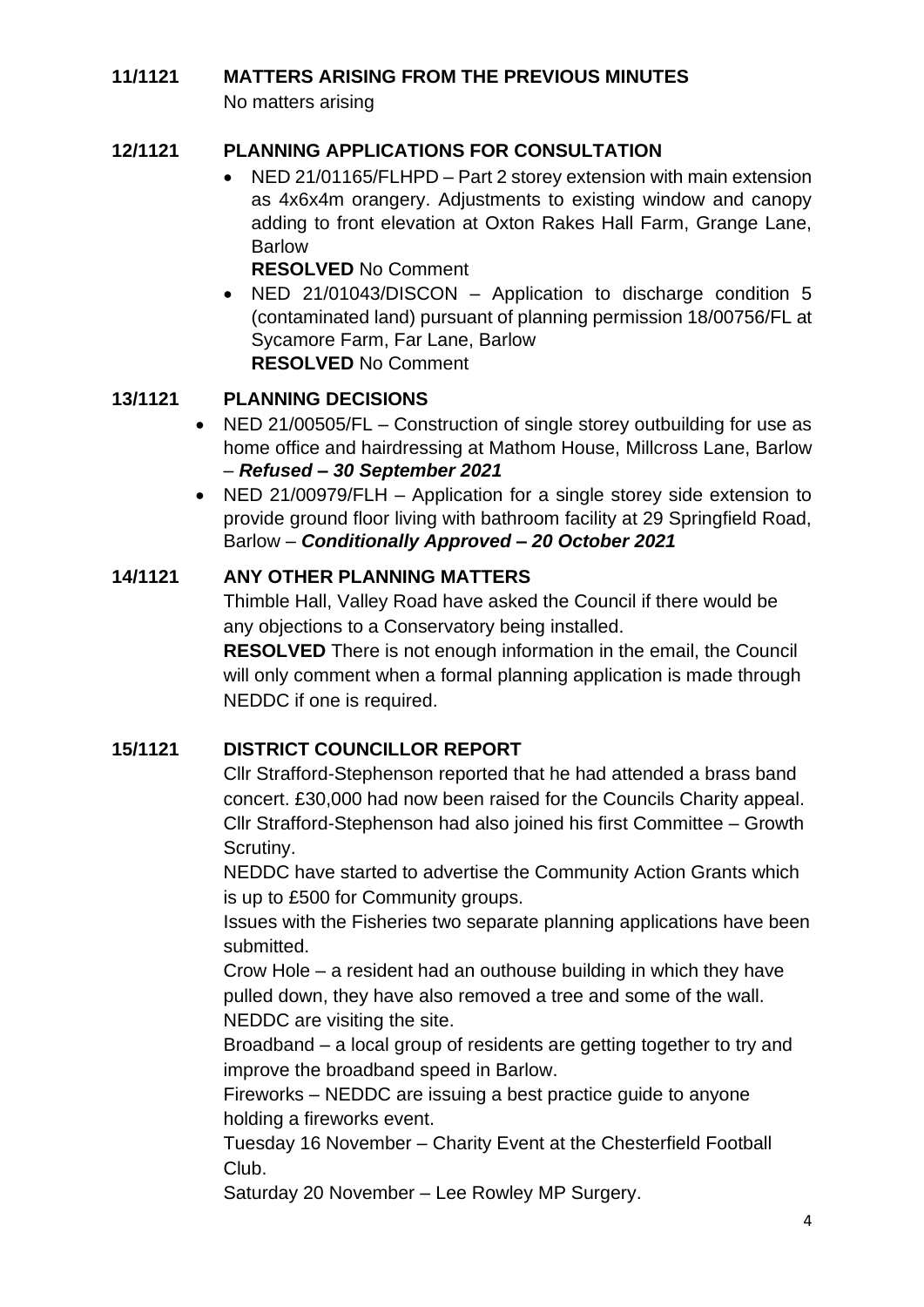# <span id="page-3-0"></span>**11/1121 MATTERS ARISING FROM THE PREVIOUS MINUTES**

No matters arising

### <span id="page-3-1"></span>**12/1121 PLANNING APPLICATIONS FOR CONSULTATION**

• NED 21/01165/FLHPD – Part 2 storey extension with main extension as 4x6x4m orangery. Adjustments to existing window and canopy adding to front elevation at Oxton Rakes Hall Farm, Grange Lane, Barlow

**RESOLVED** No Comment

• NED 21/01043/DISCON – Application to discharge condition 5 (contaminated land) pursuant of planning permission 18/00756/FL at Sycamore Farm, Far Lane, Barlow **RESOLVED** No Comment

### <span id="page-3-2"></span>**13/1121 PLANNING DECISIONS**

- NED 21/00505/FL Construction of single storey outbuilding for use as home office and hairdressing at Mathom House, Millcross Lane, Barlow – *Refused – 30 September 2021*
- NED 21/00979/FLH Application for a single storey side extension to provide ground floor living with bathroom facility at 29 Springfield Road, Barlow – *Conditionally Approved – 20 October 2021*

### <span id="page-3-3"></span>**14/1121 ANY OTHER PLANNING MATTERS**

Thimble Hall, Valley Road have asked the Council if there would be any objections to a Conservatory being installed.

**RESOLVED** There is not enough information in the email, the Council will only comment when a formal planning application is made through NEDDC if one is required.

### <span id="page-3-4"></span>**15/1121 DISTRICT COUNCILLOR REPORT**

Cllr Strafford-Stephenson reported that he had attended a brass band concert. £30,000 had now been raised for the Councils Charity appeal. Cllr Strafford-Stephenson had also joined his first Committee – Growth Scrutiny.

NEDDC have started to advertise the Community Action Grants which is up to £500 for Community groups.

Issues with the Fisheries two separate planning applications have been submitted.

Crow Hole – a resident had an outhouse building in which they have pulled down, they have also removed a tree and some of the wall. NEDDC are visiting the site.

Broadband – a local group of residents are getting together to try and improve the broadband speed in Barlow.

Fireworks – NEDDC are issuing a best practice guide to anyone holding a fireworks event.

Tuesday 16 November – Charity Event at the Chesterfield Football Club.

Saturday 20 November – Lee Rowley MP Surgery.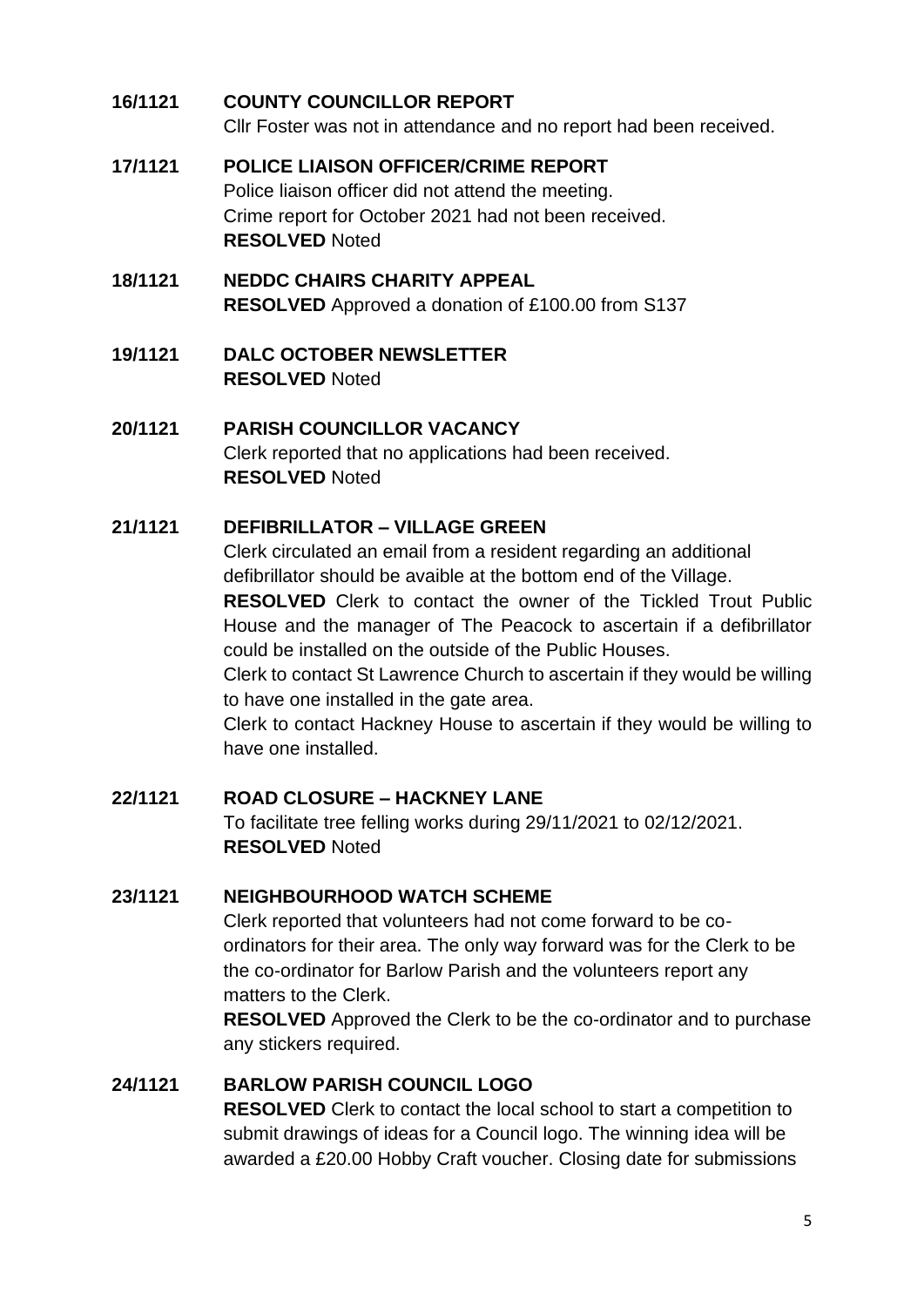### <span id="page-4-0"></span>**16/1121 COUNTY COUNCILLOR REPORT**

Cllr Foster was not in attendance and no report had been received.

#### <span id="page-4-1"></span>**17/1121 POLICE LIAISON OFFICER/CRIME REPORT**

Police liaison officer did not attend the meeting. Crime report for October 2021 had not been received. **RESOLVED** Noted

### <span id="page-4-2"></span>**18/1121 NEDDC CHAIRS CHARITY APPEAL RESOLVED** Approved a donation of £100.00 from S137

<span id="page-4-3"></span>**19/1121 DALC OCTOBER NEWSLETTER RESOLVED** Noted

<span id="page-4-4"></span>**20/1121 PARISH COUNCILLOR VACANCY**  Clerk reported that no applications had been received. **RESOLVED** Noted

### <span id="page-4-5"></span>**21/1121 DEFIBRILLATOR – VILLAGE GREEN**

Clerk circulated an email from a resident regarding an additional defibrillator should be avaible at the bottom end of the Village.

**RESOLVED** Clerk to contact the owner of the Tickled Trout Public House and the manager of The Peacock to ascertain if a defibrillator could be installed on the outside of the Public Houses.

Clerk to contact St Lawrence Church to ascertain if they would be willing to have one installed in the gate area.

Clerk to contact Hackney House to ascertain if they would be willing to have one installed.

#### <span id="page-4-6"></span>**22/1121 ROAD CLOSURE – HACKNEY LANE**

To facilitate tree felling works during 29/11/2021 to 02/12/2021. **RESOLVED** Noted

### <span id="page-4-7"></span>**23/1121 NEIGHBOURHOOD WATCH SCHEME**

Clerk reported that volunteers had not come forward to be coordinators for their area. The only way forward was for the Clerk to be the co-ordinator for Barlow Parish and the volunteers report any matters to the Clerk.

**RESOLVED** Approved the Clerk to be the co-ordinator and to purchase any stickers required.

### <span id="page-4-8"></span>**24/1121 BARLOW PARISH COUNCIL LOGO**

**RESOLVED** Clerk to contact the local school to start a competition to submit drawings of ideas for a Council logo. The winning idea will be awarded a £20.00 Hobby Craft voucher. Closing date for submissions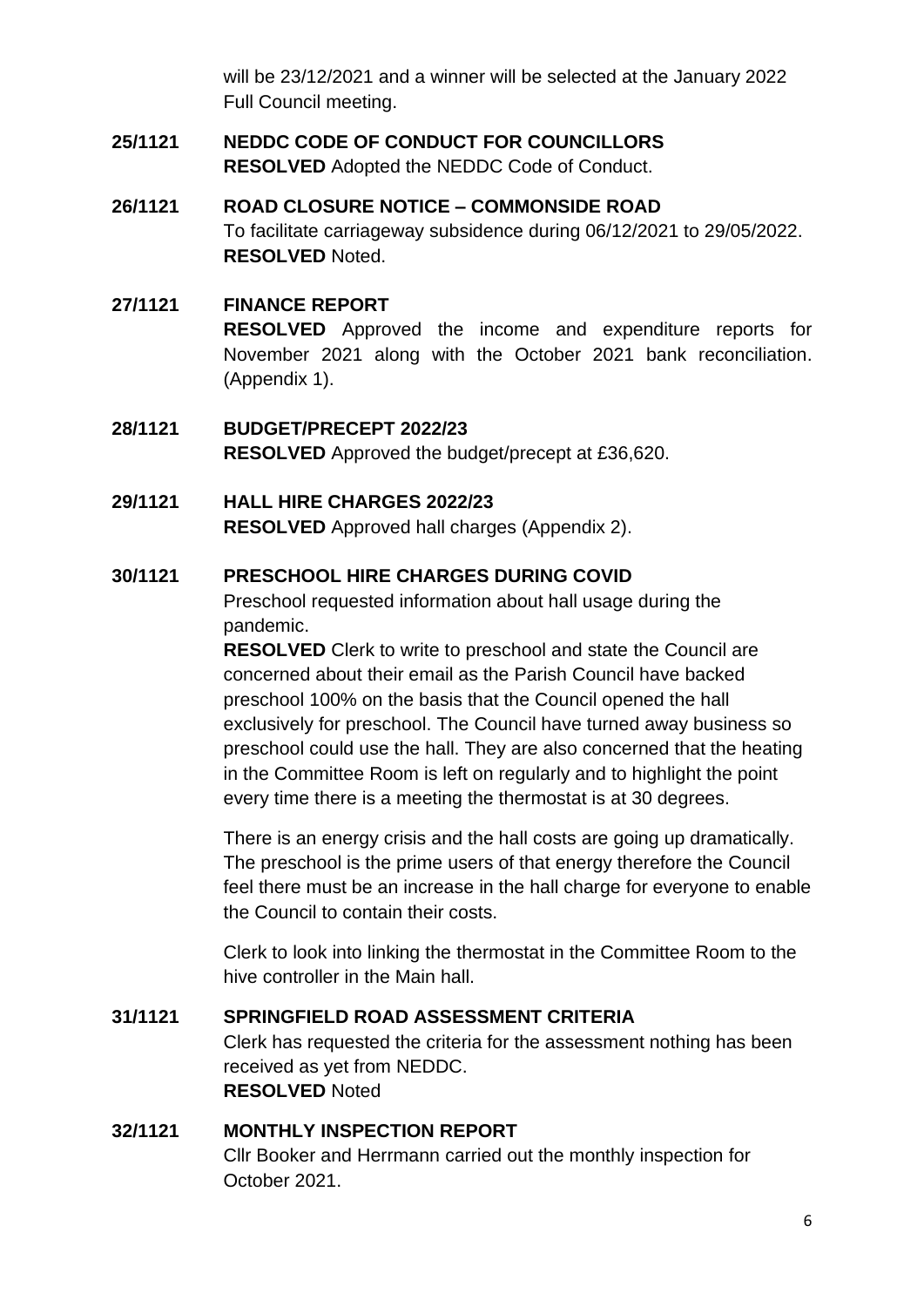will be 23/12/2021 and a winner will be selected at the January 2022 Full Council meeting.

#### <span id="page-5-0"></span>**25/1121 NEDDC CODE OF CONDUCT FOR COUNCILLORS RESOLVED** Adopted the NEDDC Code of Conduct.

### <span id="page-5-1"></span>**26/1121 ROAD CLOSURE NOTICE – COMMONSIDE ROAD** To facilitate carriageway subsidence during 06/12/2021 to 29/05/2022. **RESOLVED** Noted.

#### <span id="page-5-2"></span>**27/1121 FINANCE REPORT**

**RESOLVED** Approved the income and expenditure reports for November 2021 along with the October 2021 bank reconciliation. (Appendix 1).

#### <span id="page-5-3"></span>**28/1121 BUDGET/PRECEPT 2022/23 RESOLVED** Approved the budget/precept at £36,620.

# <span id="page-5-4"></span>**29/1121 HALL HIRE CHARGES 2022/23**

**RESOLVED** Approved hall charges (Appendix 2).

### <span id="page-5-5"></span>**30/1121 PRESCHOOL HIRE CHARGES DURING COVID**

Preschool requested information about hall usage during the pandemic.

**RESOLVED** Clerk to write to preschool and state the Council are concerned about their email as the Parish Council have backed preschool 100% on the basis that the Council opened the hall exclusively for preschool. The Council have turned away business so preschool could use the hall. They are also concerned that the heating in the Committee Room is left on regularly and to highlight the point every time there is a meeting the thermostat is at 30 degrees.

There is an energy crisis and the hall costs are going up dramatically. The preschool is the prime users of that energy therefore the Council feel there must be an increase in the hall charge for everyone to enable the Council to contain their costs.

Clerk to look into linking the thermostat in the Committee Room to the hive controller in the Main hall.

# <span id="page-5-6"></span>**31/1121 SPRINGFIELD ROAD ASSESSMENT CRITERIA** Clerk has requested the criteria for the assessment nothing has been received as yet from NEDDC. **RESOLVED** Noted

### <span id="page-5-7"></span>**32/1121 MONTHLY INSPECTION REPORT**

Cllr Booker and Herrmann carried out the monthly inspection for October 2021.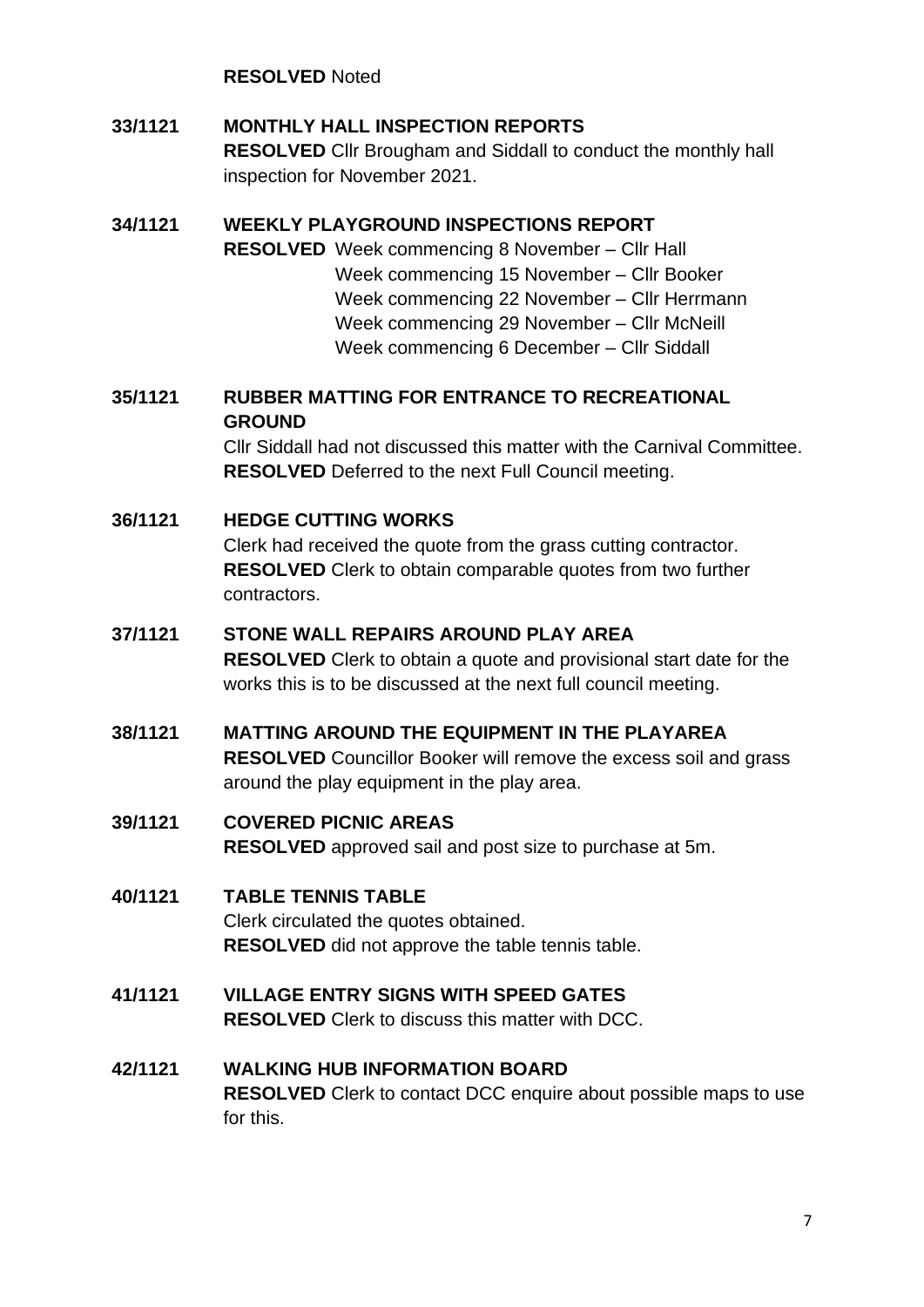**RESOLVED** Noted

### <span id="page-6-0"></span>**33/1121 MONTHLY HALL INSPECTION REPORTS**

**RESOLVED** Cllr Brougham and Siddall to conduct the monthly hall inspection for November 2021.

#### <span id="page-6-1"></span>**34/1121 WEEKLY PLAYGROUND INSPECTIONS REPORT**

**RESOLVED** Week commencing 8 November – Cllr Hall Week commencing 15 November – Cllr Booker Week commencing 22 November – Cllr Herrmann Week commencing 29 November – Cllr McNeill Week commencing 6 December – Cllr Siddall

### <span id="page-6-2"></span>**35/1121 RUBBER MATTING FOR ENTRANCE TO RECREATIONAL GROUND**

Cllr Siddall had not discussed this matter with the Carnival Committee. **RESOLVED** Deferred to the next Full Council meeting.

### <span id="page-6-3"></span>**36/1121 HEDGE CUTTING WORKS**

Clerk had received the quote from the grass cutting contractor. **RESOLVED** Clerk to obtain comparable quotes from two further contractors.

#### <span id="page-6-4"></span>**37/1121 STONE WALL REPAIRS AROUND PLAY AREA**

**RESOLVED** Clerk to obtain a quote and provisional start date for the works this is to be discussed at the next full council meeting.

### <span id="page-6-5"></span>**38/1121 MATTING AROUND THE EQUIPMENT IN THE PLAYAREA**

**RESOLVED** Councillor Booker will remove the excess soil and grass around the play equipment in the play area.

#### <span id="page-6-6"></span>**39/1121 COVERED PICNIC AREAS**

**RESOLVED** approved sail and post size to purchase at 5m.

#### <span id="page-6-7"></span>**40/1121 TABLE TENNIS TABLE**

Clerk circulated the quotes obtained. **RESOLVED** did not approve the table tennis table.

- <span id="page-6-8"></span>**41/1121 VILLAGE ENTRY SIGNS WITH SPEED GATES RESOLVED** Clerk to discuss this matter with DCC.
- <span id="page-6-9"></span>**42/1121 WALKING HUB INFORMATION BOARD RESOLVED** Clerk to contact DCC enquire about possible maps to use for this.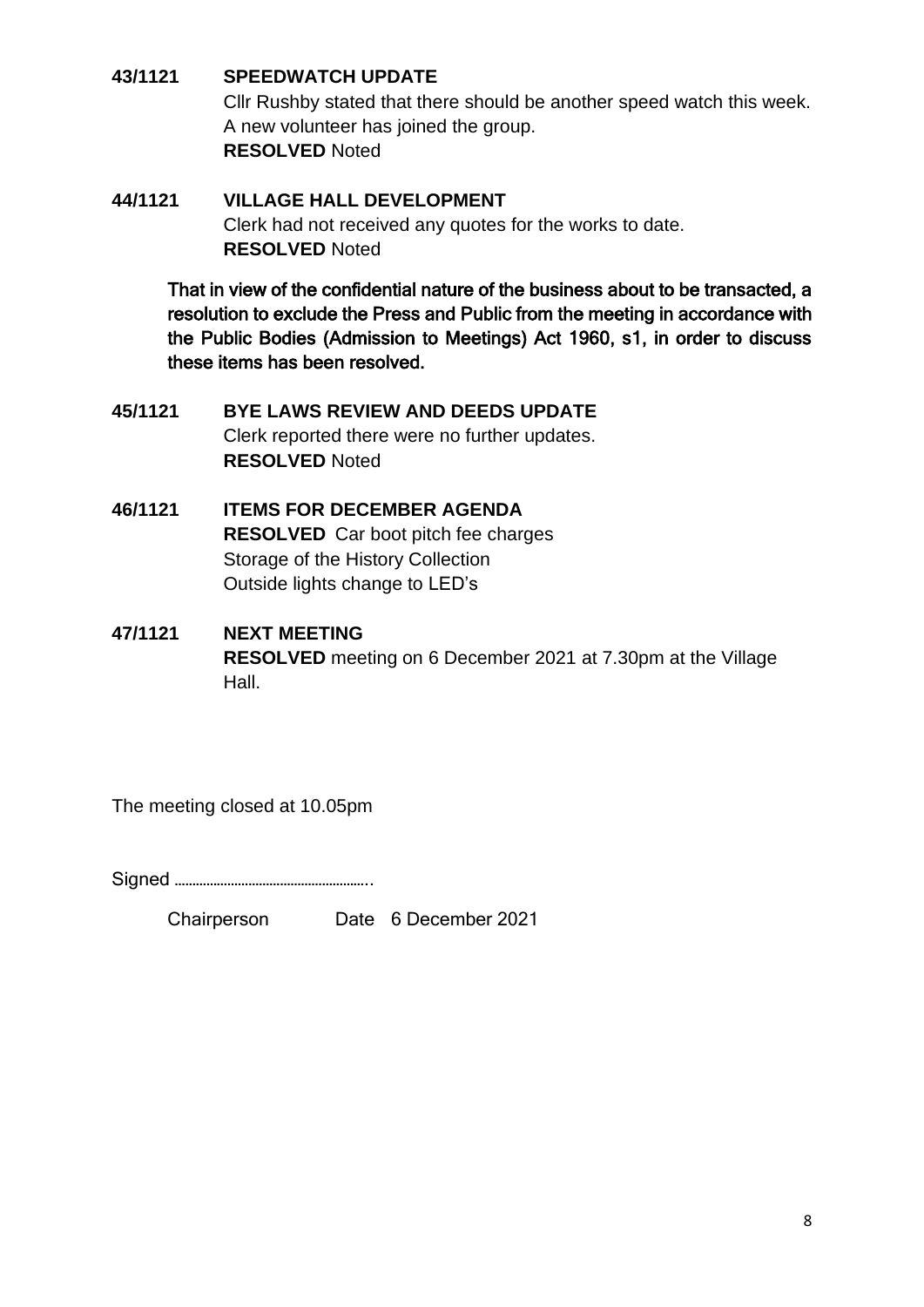### <span id="page-7-0"></span>**43/1121 SPEEDWATCH UPDATE**

Cllr Rushby stated that there should be another speed watch this week. A new volunteer has joined the group. **RESOLVED** Noted

### <span id="page-7-1"></span>**44/1121 VILLAGE HALL DEVELOPMENT** Clerk had not received any quotes for the works to date. **RESOLVED** Noted

That in view of the confidential nature of the business about to be transacted, a resolution to exclude the Press and Public from the meeting in accordance with the Public Bodies (Admission to Meetings) Act 1960, s1, in order to discuss these items has been resolved.

- <span id="page-7-2"></span>**45/1121 BYE LAWS REVIEW AND DEEDS UPDATE** Clerk reported there were no further updates. **RESOLVED** Noted
- <span id="page-7-3"></span>**46/1121 ITEMS FOR DECEMBER AGENDA RESOLVED** Car boot pitch fee charges Storage of the History Collection Outside lights change to LED's
- <span id="page-7-4"></span>**47/1121 NEXT MEETING RESOLVED** meeting on 6 December 2021 at 7.30pm at the Village Hall.

The meeting closed at 10.05pm

Signed ………………………………………………..

Chairperson Date 6 December 2021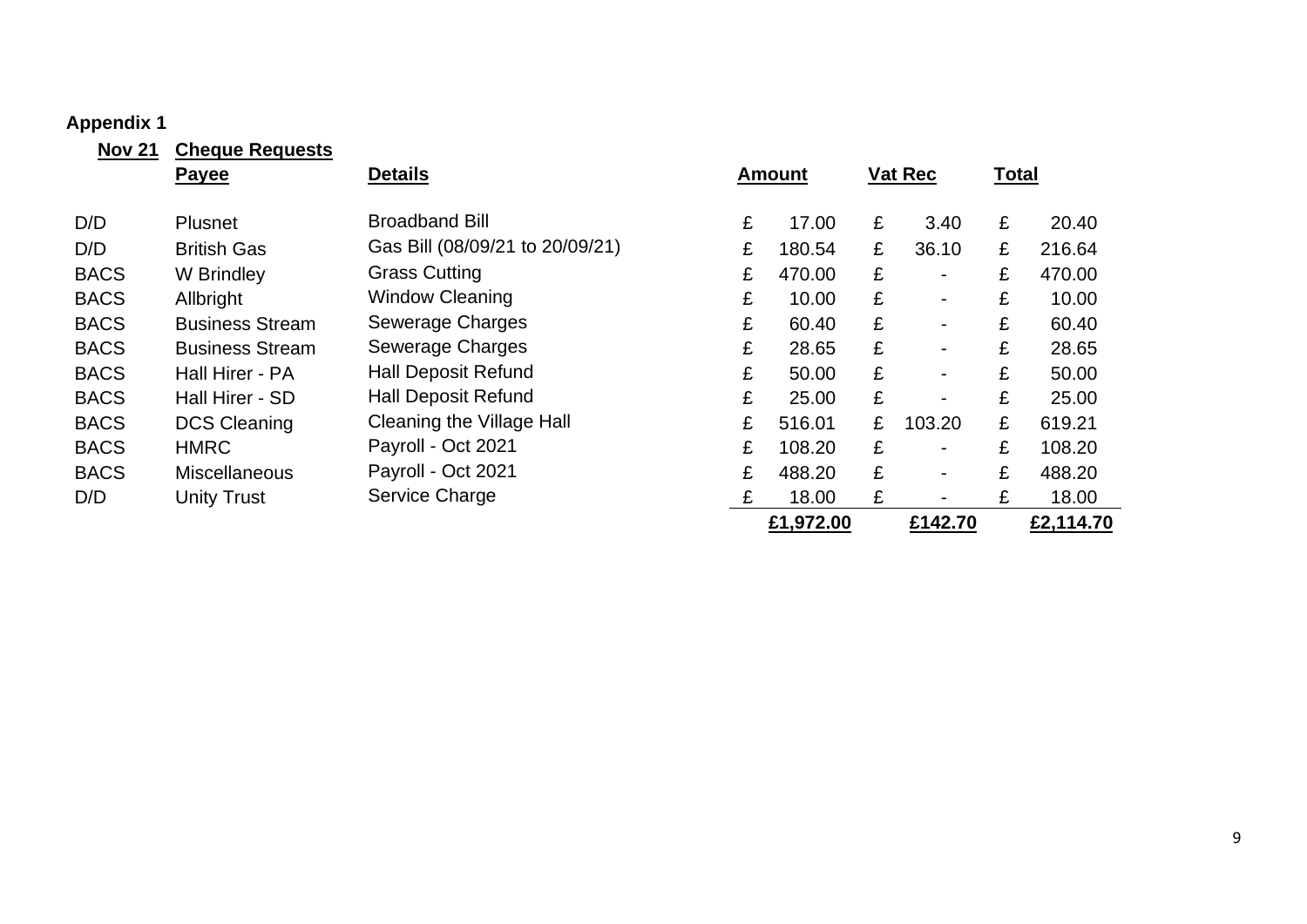#### **Appendix 1**

<span id="page-8-0"></span>

| <b>Nov 21</b> | <b>Cheque Requests</b> |                                  |   |               |   |                              |              |           |
|---------------|------------------------|----------------------------------|---|---------------|---|------------------------------|--------------|-----------|
|               | <b>Payee</b>           | <b>Details</b>                   |   | <b>Amount</b> |   | <b>Vat Rec</b>               | <b>Total</b> |           |
|               |                        |                                  |   |               |   |                              |              |           |
| D/D           | <b>Plusnet</b>         | <b>Broadband Bill</b>            | £ | 17.00         | £ | 3.40                         | £            | 20.40     |
| D/D           | <b>British Gas</b>     | Gas Bill (08/09/21 to 20/09/21)  | £ | 180.54        | £ | 36.10                        | £            | 216.64    |
| <b>BACS</b>   | W Brindley             | <b>Grass Cutting</b>             | £ | 470.00        | £ | $\qquad \qquad \blacksquare$ | £            | 470.00    |
| <b>BACS</b>   | Allbright              | <b>Window Cleaning</b>           | £ | 10.00         | £ | $\qquad \qquad \blacksquare$ | £            | 10.00     |
| <b>BACS</b>   | <b>Business Stream</b> | Sewerage Charges                 | £ | 60.40         | £ | $\blacksquare$               | £            | 60.40     |
| <b>BACS</b>   | <b>Business Stream</b> | <b>Sewerage Charges</b>          | £ | 28.65         | £ | $\blacksquare$               | £            | 28.65     |
| <b>BACS</b>   | Hall Hirer - PA        | <b>Hall Deposit Refund</b>       | £ | 50.00         | £ | $\blacksquare$               | £            | 50.00     |
| <b>BACS</b>   | Hall Hirer - SD        | <b>Hall Deposit Refund</b>       | £ | 25.00         | £ | $\blacksquare$               | £            | 25.00     |
| <b>BACS</b>   | <b>DCS Cleaning</b>    | <b>Cleaning the Village Hall</b> | £ | 516.01        | £ | 103.20                       | £            | 619.21    |
| <b>BACS</b>   | <b>HMRC</b>            | Payroll - Oct 2021               | £ | 108.20        | £ | $\blacksquare$               | £            | 108.20    |
| <b>BACS</b>   | <b>Miscellaneous</b>   | Payroll - Oct 2021               | £ | 488.20        | £ | $\blacksquare$               | £            | 488.20    |
| D/D           | <b>Unity Trust</b>     | Service Charge                   | £ | 18.00         | £ | $\blacksquare$               | £            | 18.00     |
|               |                        |                                  |   | £1,972.00     |   | £142.70                      |              | £2,114.70 |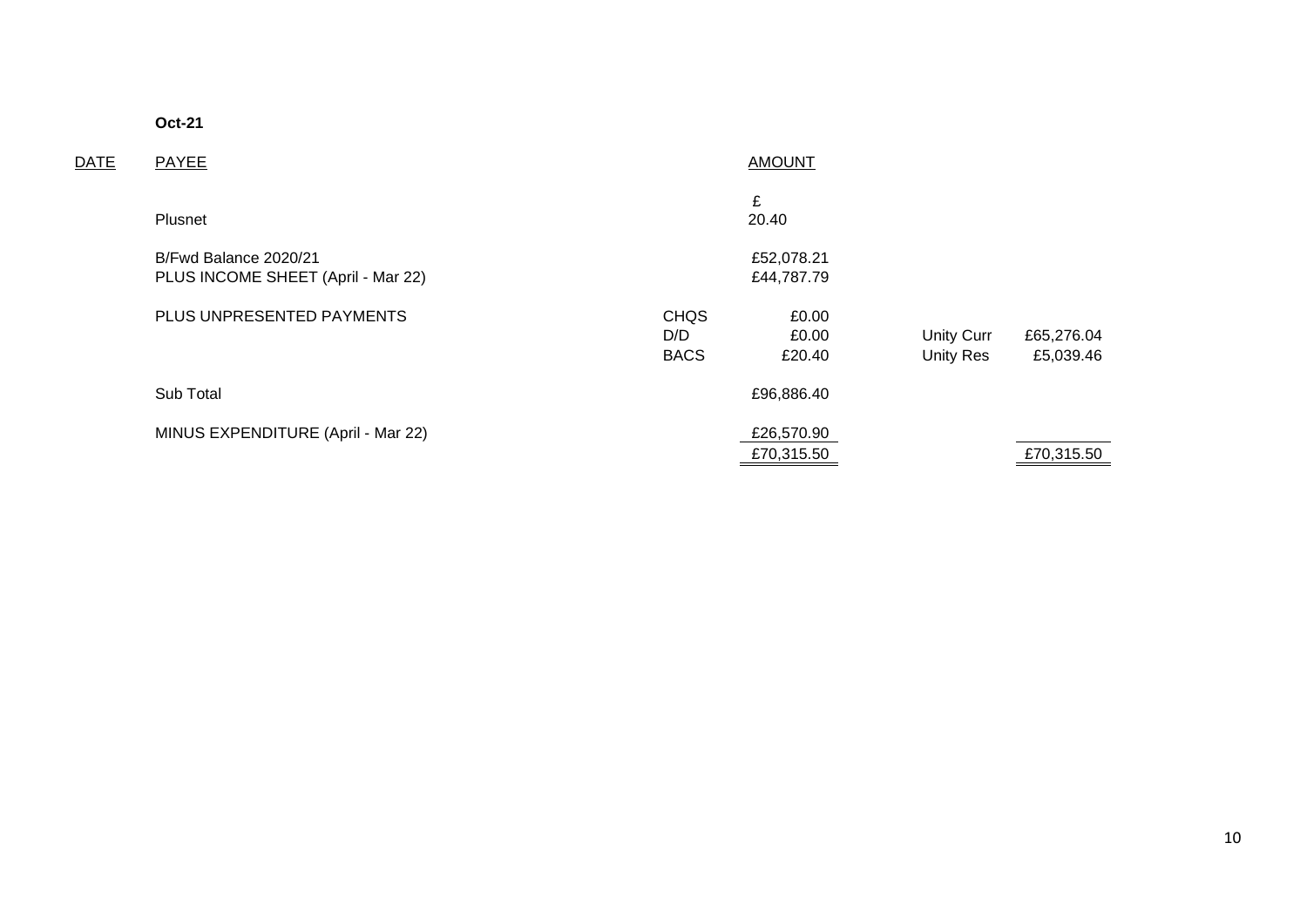**Oct-21**

| <b>DATE</b> | PAYEE                                                       | <b>AMOUNT</b>                     |                          |                                       |                         |  |
|-------------|-------------------------------------------------------------|-----------------------------------|--------------------------|---------------------------------------|-------------------------|--|
|             | Plusnet                                                     |                                   | £<br>20.40               |                                       |                         |  |
|             | B/Fwd Balance 2020/21<br>PLUS INCOME SHEET (April - Mar 22) |                                   | £52,078.21<br>£44,787.79 |                                       |                         |  |
|             | PLUS UNPRESENTED PAYMENTS                                   | <b>CHQS</b><br>D/D<br><b>BACS</b> | £0.00<br>£0.00<br>£20.40 | <b>Unity Curr</b><br><b>Unity Res</b> | £65,276.04<br>£5,039.46 |  |
|             | Sub Total                                                   |                                   | £96,886.40               |                                       |                         |  |
|             | MINUS EXPENDITURE (April - Mar 22)                          |                                   | £26,570.90<br>£70,315.50 |                                       | £70,315.50              |  |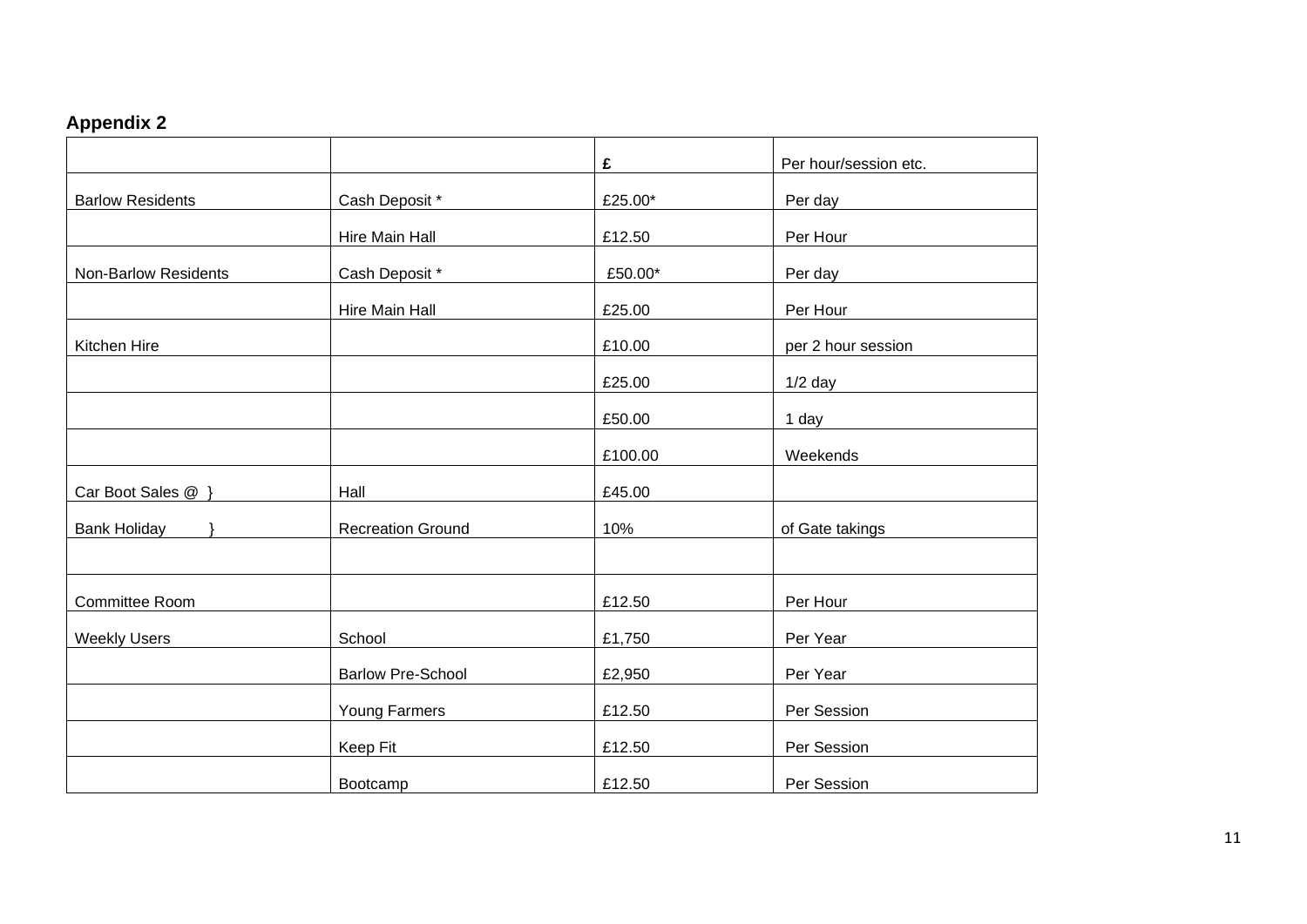# **Appendix 2**

<span id="page-10-0"></span>

|                         |                          | £       | Per hour/session etc. |
|-------------------------|--------------------------|---------|-----------------------|
| <b>Barlow Residents</b> | Cash Deposit *           | £25.00* | Per day               |
|                         | Hire Main Hall           | £12.50  | Per Hour              |
| Non-Barlow Residents    | Cash Deposit *           | £50.00* | Per day               |
|                         | Hire Main Hall           | £25.00  | Per Hour              |
| Kitchen Hire            |                          | £10.00  | per 2 hour session    |
|                         |                          | £25.00  | $1/2$ day             |
|                         |                          | £50.00  | 1 day                 |
|                         |                          | £100.00 | Weekends              |
| Car Boot Sales @ }      | Hall                     | £45.00  |                       |
| <b>Bank Holiday</b>     | <b>Recreation Ground</b> | 10%     | of Gate takings       |
|                         |                          |         |                       |
| Committee Room          |                          | £12.50  | Per Hour              |
| <b>Weekly Users</b>     | School                   | £1,750  | Per Year              |
|                         | <b>Barlow Pre-School</b> | £2,950  | Per Year              |
|                         | Young Farmers            | £12.50  | Per Session           |
|                         | Keep Fit                 | £12.50  | Per Session           |
|                         | Bootcamp                 | £12.50  | Per Session           |